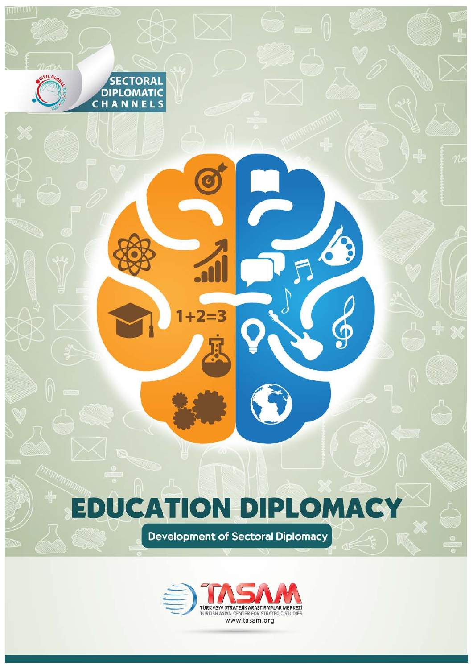## **EDUCATION DIPLOMACY**

 $+2=3$ 

1

TTITLELL

**SECTORAL DIPLOMATIC** CHANNELS

**Development of Sectoral Diplomacy** 

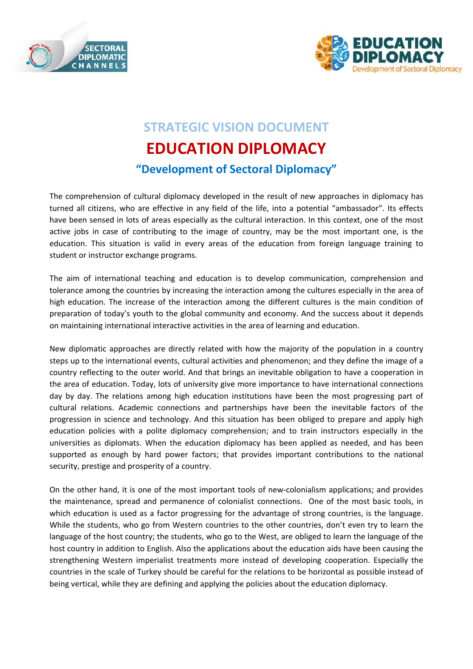



## **STRATEGIC VISION DOCUMENT EDUCATION DIPLOMACY "Development of Sectoral Diplomacy"**

The comprehension of cultural diplomacy developed in the result of new approaches in diplomacy has turned all citizens, who are effective in any field of the life, into a potential "ambassador". Its effects have been sensed in lots of areas especially as the cultural interaction. In this context, one of the most active jobs in case of contributing to the image of country, may be the most important one, is the education. This situation is valid in every areas of the education from foreign language training to student or instructor exchange programs.

The aim of international teaching and education is to develop communication, comprehension and tolerance among the countries by increasing the interaction among the cultures especially in the area of high education. The increase of the interaction among the different cultures is the main condition of preparation of today's youth to the global community and economy. And the success about it depends on maintaining international interactive activities in the area of learning and education.

New diplomatic approaches are directly related with how the majority of the population in a country steps up to the international events, cultural activities and phenomenon; and they define the image of a country reflecting to the outer world. And that brings an inevitable obligation to have a cooperation in the area of education. Today, lots of university give more importance to have international connections day by day. The relations among high education institutions have been the most progressing part of cultural relations. Academic connections and partnerships have been the inevitable factors of the progression in science and technology. And this situation has been obliged to prepare and apply high education policies with a polite diplomacy comprehension; and to train instructors especially in the universities as diplomats. When the education diplomacy has been applied as needed, and has been supported as enough by hard power factors; that provides important contributions to the national security, prestige and prosperity of a country.

On the other hand, it is one of the most important tools of new-colonialism applications; and provides the maintenance, spread and permanence of colonialist connections. One of the most basic tools, in which education is used as a factor progressing for the advantage of strong countries, is the language. While the students, who go from Western countries to the other countries, don't even try to learn the language of the host country; the students, who go to the West, are obliged to learn the language of the host country in addition to English. Also the applications about the education aids have been causing the strengthening Western imperialist treatments more instead of developing cooperation. Especially the countries in the scale of Turkey should be careful for the relations to be horizontal as possible instead of being vertical, while they are defining and applying the policies about the education diplomacy.